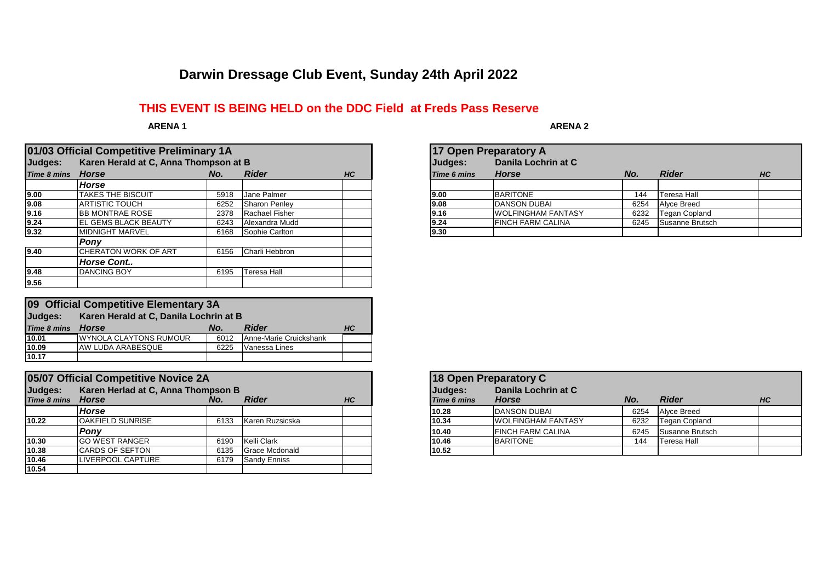## **Darwin Dressage Club Event, Sunday 24th April 2022**

## **THIS EVENT IS BEING HELD on the DDC Field at Freds Pass Reserve**

 **ARENA 1**

|             | 01/03 Official Competitive Preliminary 1A |      |                |           |             | 17 Open Preparatory A     |      |                      |    |  |
|-------------|-------------------------------------------|------|----------------|-----------|-------------|---------------------------|------|----------------------|----|--|
| Judges:     | Karen Herald at C, Anna Thompson at B     |      |                |           | Judges:     | Danila Lochrin at C       |      |                      |    |  |
| Time 8 mins | Horse                                     | No.  | <b>Rider</b>   | <b>HC</b> | Time 6 mins | <b>Horse</b>              | No.  | <b>Rider</b>         | HC |  |
|             | Horse                                     |      |                |           |             |                           |      |                      |    |  |
| 9.00        | <b>TAKES THE BISCUIT</b>                  | 5918 | Jane Palmer    |           | 9.00        | <b>BARITONE</b>           | 144  | <b>Teresa Hall</b>   |    |  |
| 9.08        | <b>ARTISTIC TOUCH</b>                     | 6252 | Sharon Penley  |           | 9.08        | <b>IDANSON DUBAI</b>      | 6254 | <b>Alvce Breed</b>   |    |  |
| 9.16        | <b>BB MONTRAE ROSE</b>                    | 2378 | Rachael Fisher |           | 9.16        | <b>WOLFINGHAM FANTASY</b> | 6232 | <b>Tegan Copland</b> |    |  |
| 9.24        | <b>IEL GEMS BLACK BEAUTY</b>              | 6243 | Alexandra Mudd |           | 9.24        | <b>FINCH FARM CALINA</b>  | 6245 | Susanne Brutsch      |    |  |
| 9.32        | <b>MIDNIGHT MARVEL</b>                    | 6168 | Sophie Carlton |           | 9.30        |                           |      |                      |    |  |
|             | Pony                                      |      |                |           |             |                           |      |                      |    |  |
| 9.40        | ICHERATON WORK OF ART                     | 6156 | Charli Hebbron |           |             |                           |      |                      |    |  |
|             | <b>Horse Cont</b>                         |      |                |           |             |                           |      |                      |    |  |
| 9.48        | <b>DANCING BOY</b>                        | 6195 | Teresa Hall    |           |             |                           |      |                      |    |  |
| 9.56        |                                           |      |                |           |             |                           |      |                      |    |  |

| 09 Official Competitive Elementary 3A             |                               |      |                        |                 |  |  |  |  |  |
|---------------------------------------------------|-------------------------------|------|------------------------|-----------------|--|--|--|--|--|
| Karen Herald at C, Danila Lochrin at B<br>Judges: |                               |      |                        |                 |  |  |  |  |  |
| Time 8 mins                                       | Horse                         | No.  | <b>Rider</b>           | HC <sub>1</sub> |  |  |  |  |  |
| 10.01                                             | <b>WYNOLA CLAYTONS RUMOUR</b> | 6012 | Anne-Marie Cruickshank |                 |  |  |  |  |  |
| 10.09                                             | <b>AW LUDA ARABESQUE</b>      | 6225 | Vanessa Lines          |                 |  |  |  |  |  |
| 10.17                                             |                               |      |                        |                 |  |  |  |  |  |

|                                               | 05/07 Official Competitive Novice 2A |      |                     |           |             | 18 Open Preparatory C     |      |                      |    |  |
|-----------------------------------------------|--------------------------------------|------|---------------------|-----------|-------------|---------------------------|------|----------------------|----|--|
| Karen Herlad at C, Anna Thompson B<br>Judges: |                                      |      |                     |           | Judges:     | Danila Lochrin at C       |      |                      |    |  |
| Time 8 mins Horse                             |                                      | No.  | <b>Rider</b>        | <b>HC</b> | Time 6 mins | <b>Horse</b>              | No.  | <b>Rider</b>         | HC |  |
|                                               | <b>Horse</b>                         |      |                     |           | 10.28       | <b>DANSON DUBAL</b>       | 6254 | Alyce Breed          |    |  |
| 10.22                                         | <b>OAKFIELD SUNRISE</b>              | 6133 | Karen Ruzsicska     |           | 10.34       | <b>WOLFINGHAM FANTASY</b> | 6232 | <b>Tegan Copland</b> |    |  |
|                                               | Pony                                 |      |                     |           | 10.40       | <b>FINCH FARM CALINA</b>  | 6245 | Susanne Brutsch      |    |  |
| 10.30                                         | <b>GO WEST RANGER</b>                | 6190 | Kelli Clark         |           | 10.46       | <b>BARITONE</b>           | 144  | Teresa Hall          |    |  |
| 10.38                                         | <b>CARDS OF SEFTON</b>               | 6135 | Grace Mcdonald      |           | 10.52       |                           |      |                      |    |  |
| 10.46                                         | <b>LIVERPOOL CAPTURE</b>             | 6179 | <b>Sandy Enniss</b> |           |             |                           |      |                      |    |  |
| 10.54                                         |                                      |      |                     |           |             |                           |      |                      |    |  |

 **ARENA 2**

|             | 17 Open Preparatory A     |      |                      |           |  |  |  |  |  |  |  |
|-------------|---------------------------|------|----------------------|-----------|--|--|--|--|--|--|--|
| Judges:     | Danila Lochrin at C       |      |                      |           |  |  |  |  |  |  |  |
| Time 6 mins | <b>Horse</b>              | No.  | <b>Rider</b>         | <b>HC</b> |  |  |  |  |  |  |  |
|             |                           |      |                      |           |  |  |  |  |  |  |  |
| 9.00        | <b>BARITONE</b>           | 144  | Teresa Hall          |           |  |  |  |  |  |  |  |
| 9.08        | <b>DANSON DUBAI</b>       | 6254 | Alyce Breed          |           |  |  |  |  |  |  |  |
| 9.16        | <b>WOLFINGHAM FANTASY</b> | 6232 | <b>Tegan Copland</b> |           |  |  |  |  |  |  |  |
| 9.24        | <b>FINCH FARM CALINA</b>  | 6245 | Susanne Brutsch      |           |  |  |  |  |  |  |  |
| 9.30        |                           |      |                      |           |  |  |  |  |  |  |  |

|                               | 18 Open Preparatory C               |      |                      |    |  |  |  |  |  |  |
|-------------------------------|-------------------------------------|------|----------------------|----|--|--|--|--|--|--|
| Judges:<br><b>Time 6 mins</b> | Danila Lochrin at C<br><b>Horse</b> | No.  | <b>Rider</b>         | HC |  |  |  |  |  |  |
| 10.28                         | <b>DANSON DUBAI</b>                 | 6254 | <b>Alyce Breed</b>   |    |  |  |  |  |  |  |
| 10.34                         | <b>WOLFINGHAM FANTASY</b>           | 6232 | <b>Tegan Copland</b> |    |  |  |  |  |  |  |
| 10.40                         | <b>FINCH FARM CALINA</b>            | 6245 | Susanne Brutsch      |    |  |  |  |  |  |  |
| 10.46                         | <b>BARITONE</b>                     | 144  | Teresa Hall          |    |  |  |  |  |  |  |
| 10.52                         |                                     |      |                      |    |  |  |  |  |  |  |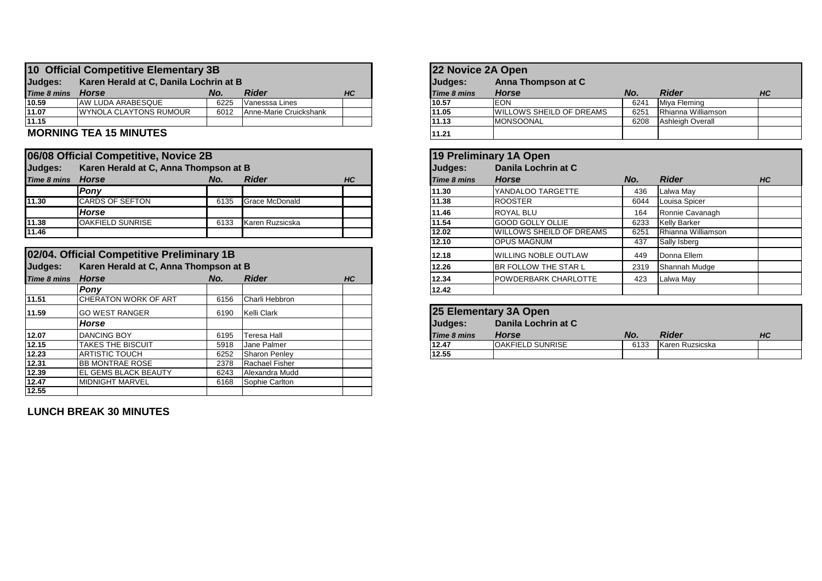|                                                   | 10 Official Competitive Elementary 3B |      |                        |           |  | 22 Novice 2A Open |                                  |      |                    |    |
|---------------------------------------------------|---------------------------------------|------|------------------------|-----------|--|-------------------|----------------------------------|------|--------------------|----|
| Judges:<br>Karen Herald at C, Danila Lochrin at B |                                       |      |                        |           |  | Judges:           | Anna Thompson at C               |      |                    |    |
| Time 8 mins Horse                                 |                                       | No.  | <b>Rider</b>           | <b>HC</b> |  | Time 8 mins       | <b>Horse</b>                     |      | <b>Rider</b>       | HC |
| 10.59                                             | IAW LUDA ARABESQUE                    | 6225 | Vanesssa Lines         |           |  | 10.57             | <b>EON</b>                       | 6241 | Miva Fleming       |    |
| 11.07                                             | <b>IWYNOLA CLAYTONS RUMOUR</b>        | 6012 | Anne-Marie Cruickshank |           |  | 11.05             | <b>IWILLOWS SHEILD OF DREAMS</b> | 6251 | Rhianna Williamson |    |
| 11.15                                             |                                       |      |                        |           |  | 11.13             | <b>IMONSOONAL</b>                | 6208 | Ashleigh Overall   |    |
|                                                   |                                       |      |                        |           |  |                   |                                  |      |                    |    |

## **MORNING TEA 15 MINUTES**

|                    | 06/08 Official Competitive, Novice 2B |      |                 |           |
|--------------------|---------------------------------------|------|-----------------|-----------|
| Judges:            | Karen Herald at C, Anna Thompson at B |      |                 |           |
| <b>Time 8 mins</b> | Horse                                 | No.  | <b>Rider</b>    | <b>HC</b> |
|                    | <b>Ponv</b>                           |      |                 |           |
| 11.30              | <b>CARDS OF SEFTON</b>                | 6135 | Grace McDonald  |           |
|                    | <b>Horse</b>                          |      |                 |           |
| 11.38              | <b>OAKFIELD SUNRISE</b>               | 6133 | Karen Ruzsicska |           |
| 11.46              |                                       |      |                 |           |

|             | 02/04. Official Competitive Preliminary 1B |      |                    |    | 12.18       | <b>WILLING NOBLE OUTLAW</b> | 449  | Donna Ellem     |    |
|-------------|--------------------------------------------|------|--------------------|----|-------------|-----------------------------|------|-----------------|----|
| Judges:     | Karen Herald at C, Anna Thompson at B      |      |                    |    | 12.26       | <b>BR FOLLOW THE STAR L</b> | 2319 | Shannah Mudge   |    |
| Time 8 mins | <b>Horse</b>                               | No.  | <b>Rider</b>       | HC | 12.34       | <b>POWDERBARK CHARLOTTE</b> | 423  | Lalwa May       |    |
|             | Pony                                       |      |                    |    | 12.42       |                             |      |                 |    |
| 11.51       | <b>CHERATON WORK OF ART</b>                | 6156 | Charli Hebbron     |    |             |                             |      |                 |    |
| 11.59       | <b>GO WEST RANGER</b>                      | 6190 | Kelli Clark        |    |             | 25 Elementary 3A Open       |      |                 |    |
|             | Horse                                      |      |                    |    | Judges:     | Danila Lochrin at C         |      |                 |    |
| 12.07       | <b>DANCING BOY</b>                         | 6195 | <b>Teresa Hall</b> |    | Time 8 mins | <b>Horse</b>                | No.  | <b>Rider</b>    | HC |
| 12.15       | <b>TAKES THE BISCUIT</b>                   | 5918 | <b>Jane Palmer</b> |    | 12.47       | <b>OAKFIELD SUNRISE</b>     | 6133 | Karen Ruzsicska |    |
| 12.23       | ARTISTIC TOUCH                             | 6252 | Sharon Penley      |    | 12.55       |                             |      |                 |    |
| 12.31       | <b>BB MONTRAE ROSE</b>                     | 2378 | Rachael Fisher     |    |             |                             |      |                 |    |
| 12.39       | <b>IEL GEMS BLACK BEAUTY</b>               | 6243 | Alexandra Mudd     |    |             |                             |      |                 |    |
| 12.47       | <b>MIDNIGHT MARVEL</b>                     | 6168 | Sophie Carlton     |    |             |                             |      |                 |    |
| 12.55       |                                            |      |                    |    |             |                             |      |                 |    |

**LUNCH BREAK 30 MINUTES**

| 22 Novice 2A Open  |                          |      |                         |           |  |  |  |  |  |  |
|--------------------|--------------------------|------|-------------------------|-----------|--|--|--|--|--|--|
| Judges:            | Anna Thompson at C       |      |                         |           |  |  |  |  |  |  |
| <b>Time 8 mins</b> | <b>Horse</b>             | No.  | <b>Rider</b>            | <b>HC</b> |  |  |  |  |  |  |
| 10.57              | <b>EON</b>               | 6241 | Miya Fleming            |           |  |  |  |  |  |  |
| 11.05              | WILLOWS SHEILD OF DREAMS | 6251 | Rhianna Williamson      |           |  |  |  |  |  |  |
| 11.13              | <b>MONSOONAL</b>         | 6208 | <b>Ashleigh Overall</b> |           |  |  |  |  |  |  |
| 11.21              |                          |      |                         |           |  |  |  |  |  |  |

|             | 06/08 Official Competitive, Novice 2B      |      |                       |    |       | 19 Preliminary 1A Open |                                 |      |                    |    |
|-------------|--------------------------------------------|------|-----------------------|----|-------|------------------------|---------------------------------|------|--------------------|----|
| Judges:     | Karen Herald at C, Anna Thompson at B      |      |                       |    |       | Judges:                | Danila Lochrin at C             |      |                    |    |
| Time 8 mins | <b>Horse</b>                               | No.  | <b>Rider</b>          | HC |       | <b>Time 8 mins</b>     | <b>Horse</b>                    | No.  | <b>Rider</b>       | HC |
|             | Pony                                       |      |                       |    |       | 11.30                  | <b>YANDALOO TARGETTE</b>        | 436  | Lalwa May          |    |
| 11.30       | <b>CARDS OF SEFTON</b>                     | 6135 | <b>Grace McDonald</b> |    |       | 11.38                  | <b>ROOSTER</b>                  | 6044 | Louisa Spicer      |    |
|             | <b>Horse</b>                               |      |                       |    |       | 11.46                  | <b>ROYAL BLU</b>                | 164  | Ronnie Cavanagh    |    |
| 11.38       | <b>OAKFIELD SUNRISE</b>                    | 6133 | Karen Ruzsicska       |    |       | 11.54                  | <b>GOOD GOLLY OLLIE</b>         | 6233 | Kelly Barker       |    |
| 11.46       |                                            |      |                       |    |       | 12.02                  | <b>WILLOWS SHEILD OF DREAMS</b> | 6251 | Rhianna Williamson |    |
|             |                                            |      |                       |    |       | 12.10                  | <b>OPUS MAGNUM</b>              | 437  | Sally Isberg       |    |
|             | 02/04. Official Competitive Preliminary 1B |      |                       |    |       | 12.18                  | <b>WILLING NOBLE OUTLAW</b>     | 449  | Donna Ellem        |    |
| Judges:     | Karen Herald at C, Anna Thompson at B      |      |                       |    |       | 12.26                  | <b>BR FOLLOW THE STAR L</b>     | 2319 | Shannah Mudge      |    |
| Time 8 mins | <b>Horse</b>                               | No.  | <b>Rider</b>          | HC | 12.34 |                        | <b>POWDERBARK CHARLOTTE</b>     | 423  | Lalwa May          |    |
|             | Pony                                       |      |                       |    |       | 12.42                  |                                 |      |                    |    |

|                    | 25 Elementary 3A Open    |      |                 |    |  |  |  |  |  |  |
|--------------------|--------------------------|------|-----------------|----|--|--|--|--|--|--|
| Judges:            | Danila Lochrin at C      |      |                 |    |  |  |  |  |  |  |
| <b>Time 8 mins</b> | <b>Horse</b>             | No.  | <b>Rider</b>    | HС |  |  |  |  |  |  |
| 12.47              | <b>IOAKFIELD SUNRISE</b> | 6133 | Karen Ruzsicska |    |  |  |  |  |  |  |
| 12.55              |                          |      |                 |    |  |  |  |  |  |  |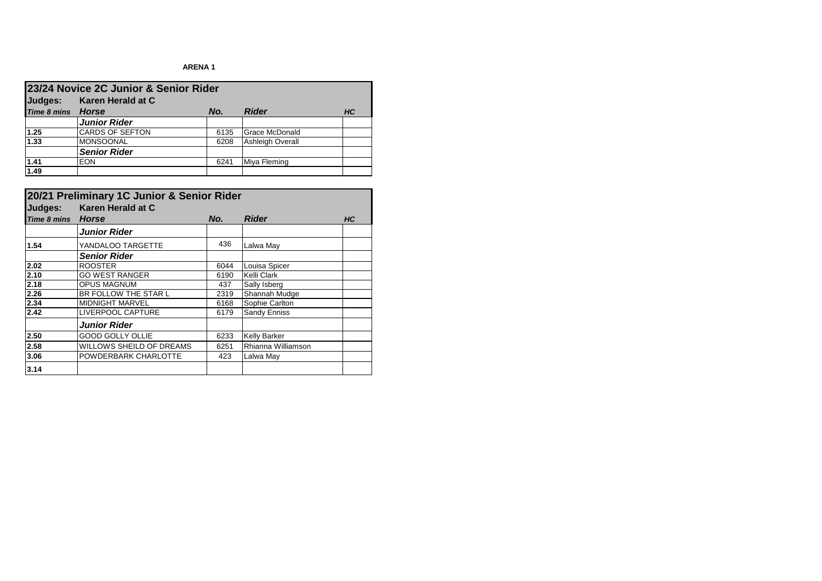## **ARENA 1**

|                    | 23/24 Novice 2C Junior & Senior Rider |      |                         |    |  |  |  |  |  |  |
|--------------------|---------------------------------------|------|-------------------------|----|--|--|--|--|--|--|
| Judges:            | Karen Herald at C                     |      |                         |    |  |  |  |  |  |  |
| <b>Time 8 mins</b> | <b>Horse</b>                          | No.  | <b>Rider</b>            | HС |  |  |  |  |  |  |
|                    | <b>Junior Rider</b>                   |      |                         |    |  |  |  |  |  |  |
| 1.25               | <b>CARDS OF SEFTON</b>                | 6135 | <b>Grace McDonald</b>   |    |  |  |  |  |  |  |
| 1.33               | <b>MONSOONAL</b>                      | 6208 | <b>Ashleigh Overall</b> |    |  |  |  |  |  |  |
|                    | <b>Senior Rider</b>                   |      |                         |    |  |  |  |  |  |  |
| 1.41               | <b>EON</b>                            | 6241 | Miya Fleming            |    |  |  |  |  |  |  |
| 1.49               |                                       |      |                         |    |  |  |  |  |  |  |

| 20/21 Preliminary 1C Junior & Senior Rider |                          |      |                     |           |  |  |  |
|--------------------------------------------|--------------------------|------|---------------------|-----------|--|--|--|
| Judges:                                    | Karen Herald at C        |      |                     |           |  |  |  |
| Time 8 mins                                | <b>Horse</b>             | No.  | <b>Rider</b>        | <b>HC</b> |  |  |  |
|                                            | <b>Junior Rider</b>      |      |                     |           |  |  |  |
| 1.54                                       | YANDALOO TARGETTE        | 436  | Lalwa May           |           |  |  |  |
|                                            | <b>Senior Rider</b>      |      |                     |           |  |  |  |
| 2.02                                       | <b>ROOSTER</b>           | 6044 | Louisa Spicer       |           |  |  |  |
| 2.10                                       | <b>GO WEST RANGER</b>    | 6190 | Kelli Clark         |           |  |  |  |
| 2.18                                       | <b>OPUS MAGNUM</b>       | 437  | Sally Isberg        |           |  |  |  |
| 2.26                                       | BR FOLLOW THE STAR L     | 2319 | Shannah Mudge       |           |  |  |  |
| 2.34                                       | <b>MIDNIGHT MARVEL</b>   | 6168 | Sophie Carlton      |           |  |  |  |
| 2.42                                       | LIVERPOOL CAPTURE        | 6179 | Sandy Enniss        |           |  |  |  |
|                                            | <b>Junior Rider</b>      |      |                     |           |  |  |  |
| 2.50                                       | <b>GOOD GOLLY OLLIE</b>  | 6233 | <b>Kelly Barker</b> |           |  |  |  |
| 2.58                                       | WILLOWS SHEILD OF DREAMS | 6251 | Rhianna Williamson  |           |  |  |  |
| 3.06                                       | POWDERBARK CHARLOTTE     | 423  | Lalwa May           |           |  |  |  |
| 3.14                                       |                          |      |                     |           |  |  |  |